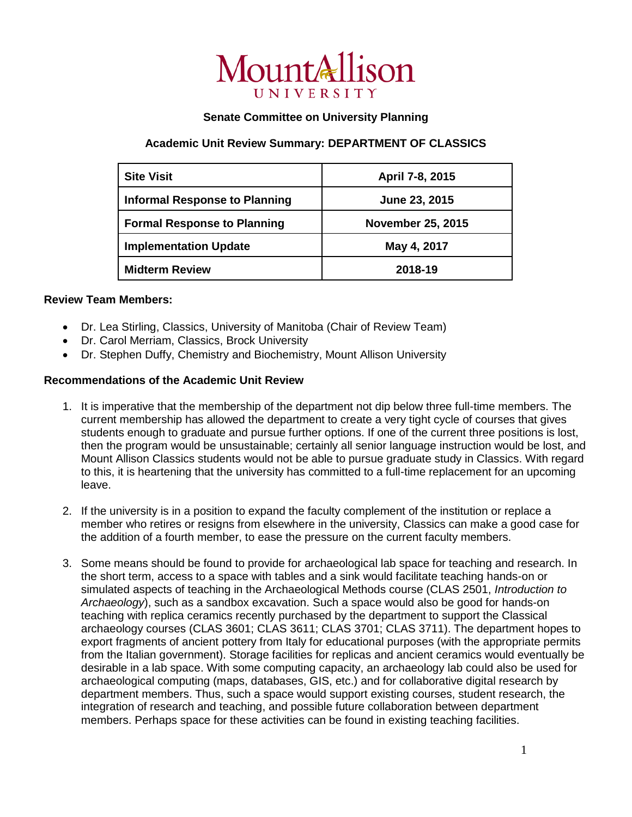

## **Senate Committee on University Planning**

## **Academic Unit Review Summary: DEPARTMENT OF CLASSICS**

| <b>Site Visit</b>                    | April 7-8, 2015          |
|--------------------------------------|--------------------------|
| <b>Informal Response to Planning</b> | June 23, 2015            |
| <b>Formal Response to Planning</b>   | <b>November 25, 2015</b> |
| <b>Implementation Update</b>         | May 4, 2017              |
| <b>Midterm Review</b>                | 2018-19                  |

## **Review Team Members:**

- Dr. Lea Stirling, Classics, University of Manitoba (Chair of Review Team)
- Dr. Carol Merriam, Classics, Brock University
- Dr. Stephen Duffy, Chemistry and Biochemistry, Mount Allison University

## **Recommendations of the Academic Unit Review**

- 1. It is imperative that the membership of the department not dip below three full-time members. The current membership has allowed the department to create a very tight cycle of courses that gives students enough to graduate and pursue further options. If one of the current three positions is lost, then the program would be unsustainable; certainly all senior language instruction would be lost, and Mount Allison Classics students would not be able to pursue graduate study in Classics. With regard to this, it is heartening that the university has committed to a full-time replacement for an upcoming leave.
- 2. If the university is in a position to expand the faculty complement of the institution or replace a member who retires or resigns from elsewhere in the university, Classics can make a good case for the addition of a fourth member, to ease the pressure on the current faculty members.
- 3. Some means should be found to provide for archaeological lab space for teaching and research. In the short term, access to a space with tables and a sink would facilitate teaching hands-on or simulated aspects of teaching in the Archaeological Methods course (CLAS 2501, *Introduction to Archaeology*), such as a sandbox excavation. Such a space would also be good for hands-on teaching with replica ceramics recently purchased by the department to support the Classical archaeology courses (CLAS 3601; CLAS 3611; CLAS 3701; CLAS 3711). The department hopes to export fragments of ancient pottery from Italy for educational purposes (with the appropriate permits from the Italian government). Storage facilities for replicas and ancient ceramics would eventually be desirable in a lab space. With some computing capacity, an archaeology lab could also be used for archaeological computing (maps, databases, GIS, etc.) and for collaborative digital research by department members. Thus, such a space would support existing courses, student research, the integration of research and teaching, and possible future collaboration between department members. Perhaps space for these activities can be found in existing teaching facilities.